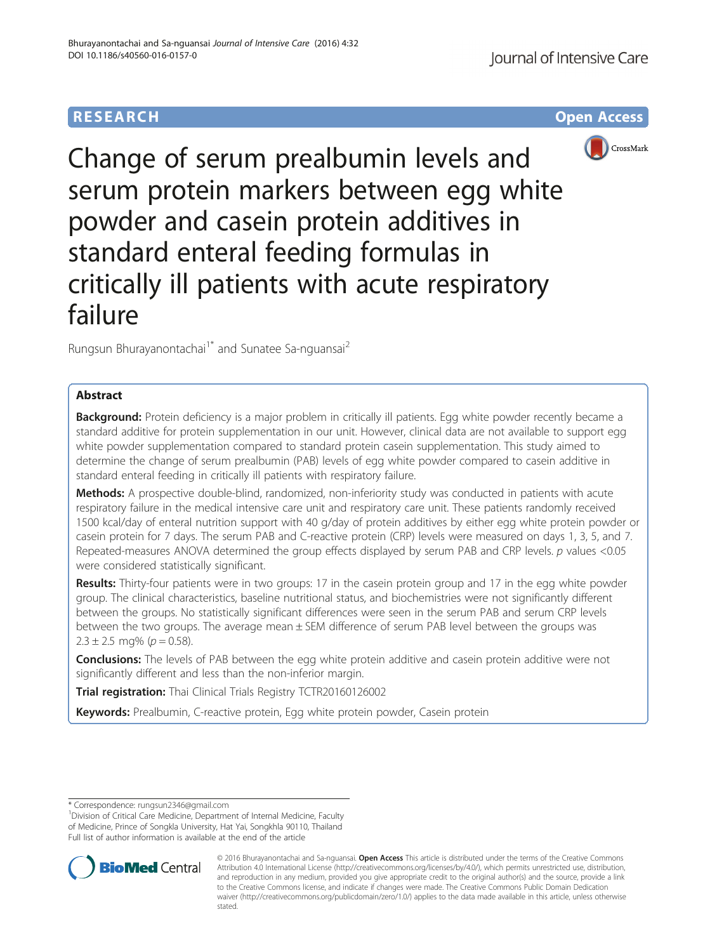# **RESEARCH CHE Open Access**



Change of serum prealbumin levels and serum protein markers between egg white powder and casein protein additives in standard enteral feeding formulas in critically ill patients with acute respiratory failure

Rungsun Bhurayanontachai<sup>1\*</sup> and Sunatee Sa-nguansai<sup>2</sup>

## Abstract

Background: Protein deficiency is a major problem in critically ill patients. Egg white powder recently became a standard additive for protein supplementation in our unit. However, clinical data are not available to support egg white powder supplementation compared to standard protein casein supplementation. This study aimed to determine the change of serum prealbumin (PAB) levels of egg white powder compared to casein additive in standard enteral feeding in critically ill patients with respiratory failure.

Methods: A prospective double-blind, randomized, non-inferiority study was conducted in patients with acute respiratory failure in the medical intensive care unit and respiratory care unit. These patients randomly received 1500 kcal/day of enteral nutrition support with 40 g/day of protein additives by either egg white protein powder or casein protein for 7 days. The serum PAB and C-reactive protein (CRP) levels were measured on days 1, 3, 5, and 7. Repeated-measures ANOVA determined the group effects displayed by serum PAB and CRP levels. p values <0.05 were considered statistically significant.

Results: Thirty-four patients were in two groups: 17 in the casein protein group and 17 in the egg white powder group. The clinical characteristics, baseline nutritional status, and biochemistries were not significantly different between the groups. No statistically significant differences were seen in the serum PAB and serum CRP levels between the two groups. The average mean ± SEM difference of serum PAB level between the groups was  $2.3 \pm 2.5$  mg% ( $p = 0.58$ ).

**Conclusions:** The levels of PAB between the egg white protein additive and casein protein additive were not significantly different and less than the non-inferior margin.

**Trial registration:** Thai Clinical Trials Registry [TCTR20160126002](http://www.clinicaltrials.in.th/index.php?tp=regtrials&menu=trialsearch&smenu=fulltext&task=search&task2=view1&id=1707)

Keywords: Prealbumin, C-reactive protein, Egg white protein powder, Casein protein

<sup>1</sup> Division of Critical Care Medicine, Department of Internal Medicine, Faculty of Medicine, Prince of Songkla University, Hat Yai, Songkhla 90110, Thailand Full list of author information is available at the end of the article



© 2016 Bhurayanontachai and Sa-nguansai. Open Access This article is distributed under the terms of the Creative Commons Attribution 4.0 International License [\(http://creativecommons.org/licenses/by/4.0/](http://creativecommons.org/licenses/by/4.0/)), which permits unrestricted use, distribution, and reproduction in any medium, provided you give appropriate credit to the original author(s) and the source, provide a link to the Creative Commons license, and indicate if changes were made. The Creative Commons Public Domain Dedication waiver [\(http://creativecommons.org/publicdomain/zero/1.0/\)](http://creativecommons.org/publicdomain/zero/1.0/) applies to the data made available in this article, unless otherwise stated

<sup>\*</sup> Correspondence: [rungsun2346@gmail.com](mailto:rungsun2346@gmail.com) <sup>1</sup>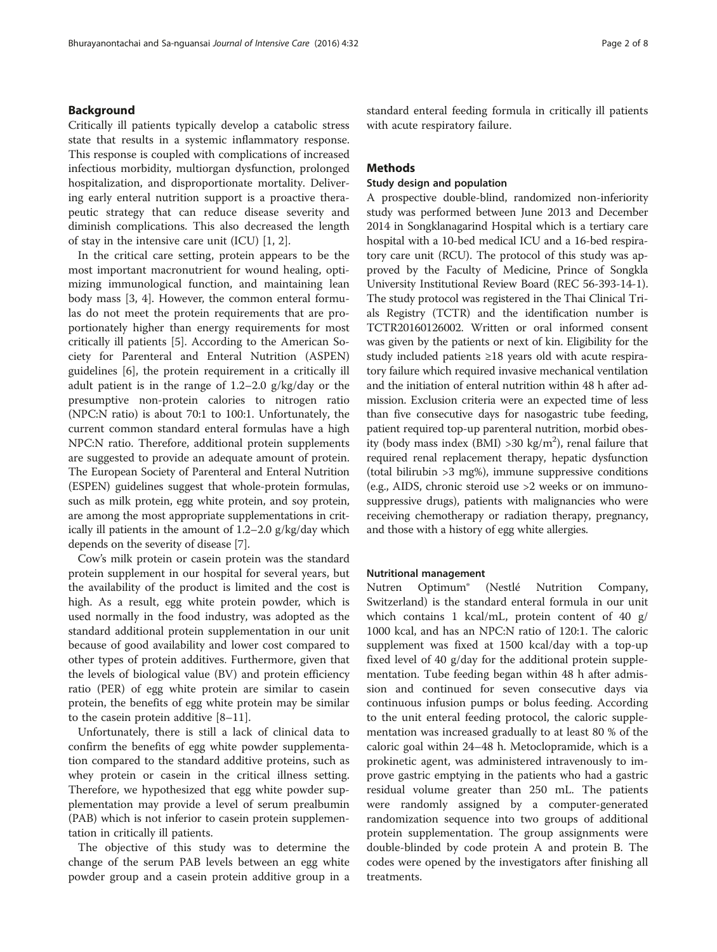### Background

Critically ill patients typically develop a catabolic stress state that results in a systemic inflammatory response. This response is coupled with complications of increased infectious morbidity, multiorgan dysfunction, prolonged hospitalization, and disproportionate mortality. Delivering early enteral nutrition support is a proactive therapeutic strategy that can reduce disease severity and diminish complications. This also decreased the length of stay in the intensive care unit (ICU) [\[1](#page-7-0), [2](#page-7-0)].

In the critical care setting, protein appears to be the most important macronutrient for wound healing, optimizing immunological function, and maintaining lean body mass [\[3](#page-7-0), [4\]](#page-7-0). However, the common enteral formulas do not meet the protein requirements that are proportionately higher than energy requirements for most critically ill patients [\[5](#page-7-0)]. According to the American Society for Parenteral and Enteral Nutrition (ASPEN) guidelines [[6\]](#page-7-0), the protein requirement in a critically ill adult patient is in the range of 1.2–2.0 g/kg/day or the presumptive non-protein calories to nitrogen ratio (NPC:N ratio) is about 70:1 to 100:1. Unfortunately, the current common standard enteral formulas have a high NPC:N ratio. Therefore, additional protein supplements are suggested to provide an adequate amount of protein. The European Society of Parenteral and Enteral Nutrition (ESPEN) guidelines suggest that whole-protein formulas, such as milk protein, egg white protein, and soy protein, are among the most appropriate supplementations in critically ill patients in the amount of 1.2–2.0 g/kg/day which depends on the severity of disease [[7\]](#page-7-0).

Cow's milk protein or casein protein was the standard protein supplement in our hospital for several years, but the availability of the product is limited and the cost is high. As a result, egg white protein powder, which is used normally in the food industry, was adopted as the standard additional protein supplementation in our unit because of good availability and lower cost compared to other types of protein additives. Furthermore, given that the levels of biological value (BV) and protein efficiency ratio (PER) of egg white protein are similar to casein protein, the benefits of egg white protein may be similar to the casein protein additive [\[8](#page-7-0)–[11](#page-7-0)].

Unfortunately, there is still a lack of clinical data to confirm the benefits of egg white powder supplementation compared to the standard additive proteins, such as whey protein or casein in the critical illness setting. Therefore, we hypothesized that egg white powder supplementation may provide a level of serum prealbumin (PAB) which is not inferior to casein protein supplementation in critically ill patients.

The objective of this study was to determine the change of the serum PAB levels between an egg white powder group and a casein protein additive group in a standard enteral feeding formula in critically ill patients with acute respiratory failure.

### Methods

### Study design and population

A prospective double-blind, randomized non-inferiority study was performed between June 2013 and December 2014 in Songklanagarind Hospital which is a tertiary care hospital with a 10-bed medical ICU and a 16-bed respiratory care unit (RCU). The protocol of this study was approved by the Faculty of Medicine, Prince of Songkla University Institutional Review Board (REC 56-393-14-1). The study protocol was registered in the Thai Clinical Trials Registry (TCTR) and the identification number is TCTR20160126002. Written or oral informed consent was given by the patients or next of kin. Eligibility for the study included patients ≥18 years old with acute respiratory failure which required invasive mechanical ventilation and the initiation of enteral nutrition within 48 h after admission. Exclusion criteria were an expected time of less than five consecutive days for nasogastric tube feeding, patient required top-up parenteral nutrition, morbid obesity (body mass index (BMI) > 30 kg/m<sup>2</sup>), renal failure that required renal replacement therapy, hepatic dysfunction (total bilirubin >3 mg%), immune suppressive conditions (e.g., AIDS, chronic steroid use >2 weeks or on immunosuppressive drugs), patients with malignancies who were receiving chemotherapy or radiation therapy, pregnancy, and those with a history of egg white allergies.

#### Nutritional management

Nutren Optimum® (Nestlé Nutrition Company, Switzerland) is the standard enteral formula in our unit which contains 1 kcal/mL, protein content of 40 g/ 1000 kcal, and has an NPC:N ratio of 120:1. The caloric supplement was fixed at 1500 kcal/day with a top-up fixed level of 40 g/day for the additional protein supplementation. Tube feeding began within 48 h after admission and continued for seven consecutive days via continuous infusion pumps or bolus feeding. According to the unit enteral feeding protocol, the caloric supplementation was increased gradually to at least 80 % of the caloric goal within 24–48 h. Metoclopramide, which is a prokinetic agent, was administered intravenously to improve gastric emptying in the patients who had a gastric residual volume greater than 250 mL. The patients were randomly assigned by a computer-generated randomization sequence into two groups of additional protein supplementation. The group assignments were double-blinded by code protein A and protein B. The codes were opened by the investigators after finishing all treatments.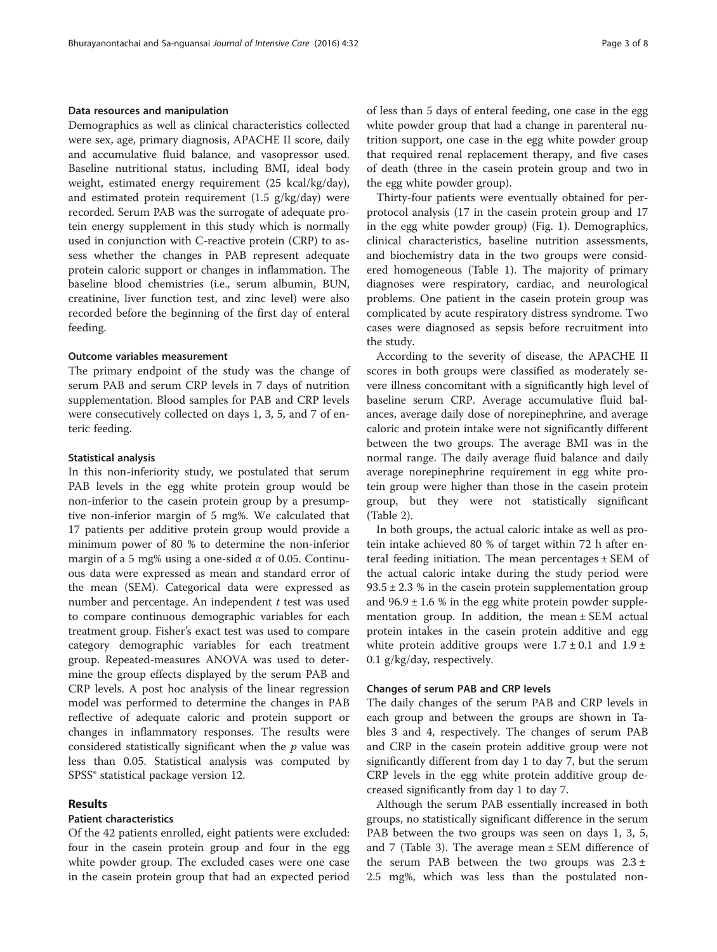### Data resources and manipulation

Demographics as well as clinical characteristics collected were sex, age, primary diagnosis, APACHE II score, daily and accumulative fluid balance, and vasopressor used. Baseline nutritional status, including BMI, ideal body weight, estimated energy requirement (25 kcal/kg/day), and estimated protein requirement (1.5 g/kg/day) were recorded. Serum PAB was the surrogate of adequate protein energy supplement in this study which is normally used in conjunction with C-reactive protein (CRP) to assess whether the changes in PAB represent adequate protein caloric support or changes in inflammation. The baseline blood chemistries (i.e., serum albumin, BUN, creatinine, liver function test, and zinc level) were also recorded before the beginning of the first day of enteral feeding.

#### Outcome variables measurement

The primary endpoint of the study was the change of serum PAB and serum CRP levels in 7 days of nutrition supplementation. Blood samples for PAB and CRP levels were consecutively collected on days 1, 3, 5, and 7 of enteric feeding.

### Statistical analysis

In this non-inferiority study, we postulated that serum PAB levels in the egg white protein group would be non-inferior to the casein protein group by a presumptive non-inferior margin of 5 mg%. We calculated that 17 patients per additive protein group would provide a minimum power of 80 % to determine the non-inferior margin of a 5 mg% using a one-sided  $\alpha$  of 0.05. Continuous data were expressed as mean and standard error of the mean (SEM). Categorical data were expressed as number and percentage. An independent  $t$  test was used to compare continuous demographic variables for each treatment group. Fisher's exact test was used to compare category demographic variables for each treatment group. Repeated-measures ANOVA was used to determine the group effects displayed by the serum PAB and CRP levels. A post hoc analysis of the linear regression model was performed to determine the changes in PAB reflective of adequate caloric and protein support or changes in inflammatory responses. The results were considered statistically significant when the  $p$  value was less than 0.05. Statistical analysis was computed by SPSS® statistical package version 12.

#### Results

### Patient characteristics

Of the 42 patients enrolled, eight patients were excluded: four in the casein protein group and four in the egg white powder group. The excluded cases were one case in the casein protein group that had an expected period of less than 5 days of enteral feeding, one case in the egg white powder group that had a change in parenteral nutrition support, one case in the egg white powder group that required renal replacement therapy, and five cases of death (three in the casein protein group and two in the egg white powder group).

Thirty-four patients were eventually obtained for perprotocol analysis (17 in the casein protein group and 17 in the egg white powder group) (Fig. [1](#page-3-0)). Demographics, clinical characteristics, baseline nutrition assessments, and biochemistry data in the two groups were considered homogeneous (Table [1\)](#page-4-0). The majority of primary diagnoses were respiratory, cardiac, and neurological problems. One patient in the casein protein group was complicated by acute respiratory distress syndrome. Two cases were diagnosed as sepsis before recruitment into the study.

According to the severity of disease, the APACHE II scores in both groups were classified as moderately severe illness concomitant with a significantly high level of baseline serum CRP. Average accumulative fluid balances, average daily dose of norepinephrine, and average caloric and protein intake were not significantly different between the two groups. The average BMI was in the normal range. The daily average fluid balance and daily average norepinephrine requirement in egg white protein group were higher than those in the casein protein group, but they were not statistically significant (Table [2\)](#page-5-0).

In both groups, the actual caloric intake as well as protein intake achieved 80 % of target within 72 h after enteral feeding initiation. The mean percentages  $\pm$  SEM of the actual caloric intake during the study period were  $93.5 \pm 2.3$  % in the casein protein supplementation group and  $96.9 \pm 1.6$  % in the egg white protein powder supplementation group. In addition, the mean ± SEM actual protein intakes in the casein protein additive and egg white protein additive groups were  $1.7 \pm 0.1$  and  $1.9 \pm$ 0.1 g/kg/day, respectively.

### Changes of serum PAB and CRP levels

The daily changes of the serum PAB and CRP levels in each group and between the groups are shown in Tables [3](#page-5-0) and [4](#page-6-0), respectively. The changes of serum PAB and CRP in the casein protein additive group were not significantly different from day 1 to day 7, but the serum CRP levels in the egg white protein additive group decreased significantly from day 1 to day 7.

Although the serum PAB essentially increased in both groups, no statistically significant difference in the serum PAB between the two groups was seen on days 1, 3, 5, and 7 (Table [3\)](#page-5-0). The average mean  $\pm$  SEM difference of the serum PAB between the two groups was  $2.3 \pm$ 2.5 mg%, which was less than the postulated non-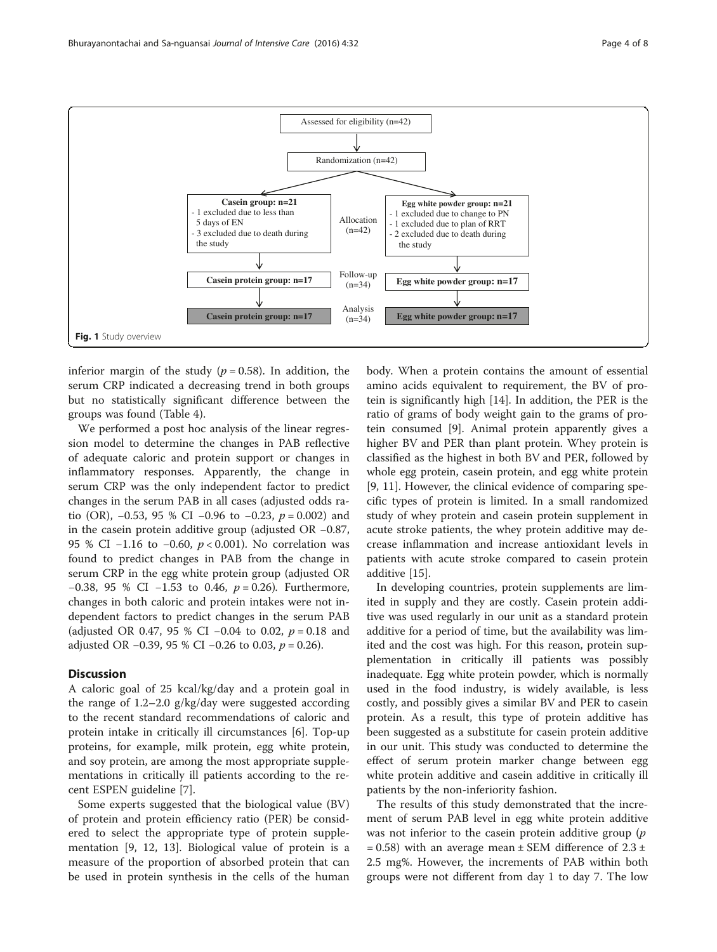<span id="page-3-0"></span>

inferior margin of the study ( $p = 0.58$ ). In addition, the serum CRP indicated a decreasing trend in both groups but no statistically significant difference between the groups was found (Table [4\)](#page-6-0).

We performed a post hoc analysis of the linear regression model to determine the changes in PAB reflective of adequate caloric and protein support or changes in inflammatory responses. Apparently, the change in serum CRP was the only independent factor to predict changes in the serum PAB in all cases (adjusted odds ratio (OR),  $-0.53$ , 95 % CI  $-0.96$  to  $-0.23$ ,  $p = 0.002$ ) and in the casein protein additive group (adjusted OR −0.87, 95 % CI −1.16 to −0.60,  $p < 0.001$ ). No correlation was found to predict changes in PAB from the change in serum CRP in the egg white protein group (adjusted OR −0.38, 95 % CI −1.53 to 0.46, p = 0.26). Furthermore, changes in both caloric and protein intakes were not independent factors to predict changes in the serum PAB (adjusted OR 0.47, 95 % CI −0.04 to 0.02,  $p = 0.18$  and adjusted OR −0.39, 95 % CI −0.26 to 0.03,  $p = 0.26$ ).

### **Discussion**

A caloric goal of 25 kcal/kg/day and a protein goal in the range of 1.2–2.0 g/kg/day were suggested according to the recent standard recommendations of caloric and protein intake in critically ill circumstances [\[6](#page-7-0)]. Top-up proteins, for example, milk protein, egg white protein, and soy protein, are among the most appropriate supplementations in critically ill patients according to the recent ESPEN guideline [\[7](#page-7-0)].

Some experts suggested that the biological value (BV) of protein and protein efficiency ratio (PER) be considered to select the appropriate type of protein supplementation [[9, 12, 13\]](#page-7-0). Biological value of protein is a measure of the proportion of absorbed protein that can be used in protein synthesis in the cells of the human

body. When a protein contains the amount of essential amino acids equivalent to requirement, the BV of protein is significantly high [[14\]](#page-7-0). In addition, the PER is the ratio of grams of body weight gain to the grams of protein consumed [[9\]](#page-7-0). Animal protein apparently gives a higher BV and PER than plant protein. Whey protein is classified as the highest in both BV and PER, followed by whole egg protein, casein protein, and egg white protein [[9, 11\]](#page-7-0). However, the clinical evidence of comparing specific types of protein is limited. In a small randomized study of whey protein and casein protein supplement in acute stroke patients, the whey protein additive may decrease inflammation and increase antioxidant levels in patients with acute stroke compared to casein protein additive [[15\]](#page-7-0).

In developing countries, protein supplements are limited in supply and they are costly. Casein protein additive was used regularly in our unit as a standard protein additive for a period of time, but the availability was limited and the cost was high. For this reason, protein supplementation in critically ill patients was possibly inadequate. Egg white protein powder, which is normally used in the food industry, is widely available, is less costly, and possibly gives a similar BV and PER to casein protein. As a result, this type of protein additive has been suggested as a substitute for casein protein additive in our unit. This study was conducted to determine the effect of serum protein marker change between egg white protein additive and casein additive in critically ill patients by the non-inferiority fashion.

The results of this study demonstrated that the increment of serum PAB level in egg white protein additive was not inferior to the casein protein additive group  $(p)$  $= 0.58$ ) with an average mean  $\pm$  SEM difference of 2.3  $\pm$ 2.5 mg%. However, the increments of PAB within both groups were not different from day 1 to day 7. The low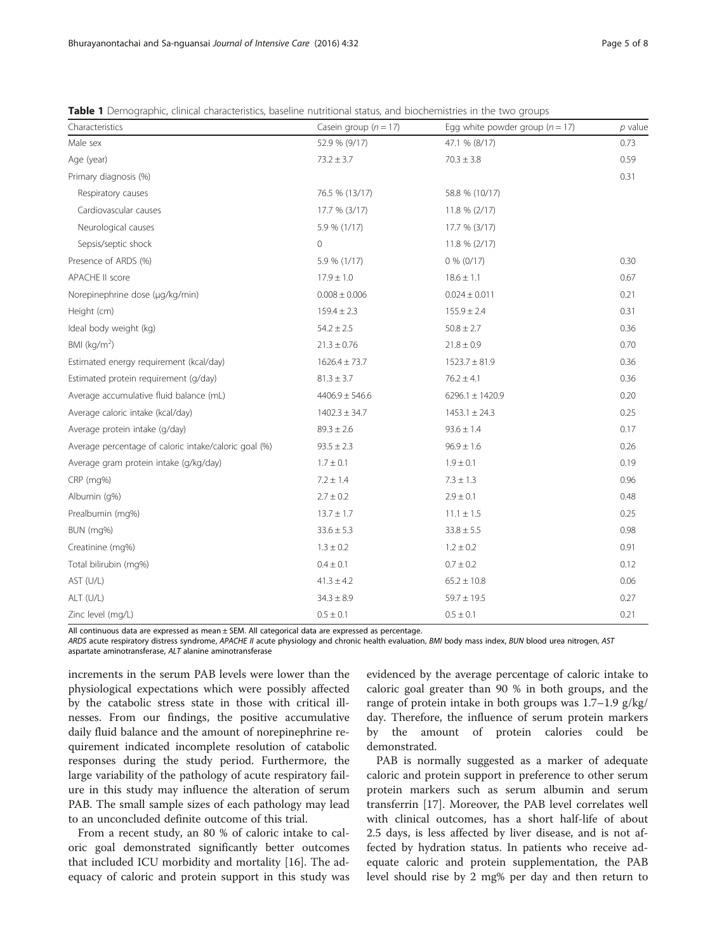| Characteristics                                       | Casein group $(n = 17)$ | Egg white powder group ( $n = 17$ ) | $p$ value |
|-------------------------------------------------------|-------------------------|-------------------------------------|-----------|
| Male sex                                              | 52.9 % (9/17)           | 47.1 % (8/17)                       | 0.73      |
| Age (year)                                            | $73.2 \pm 3.7$          | $70.3 \pm 3.8$                      | 0.59      |
| Primary diagnosis (%)                                 |                         |                                     | 0.31      |
| Respiratory causes                                    | 76.5 % (13/17)          | 58.8 % (10/17)                      |           |
| Cardiovascular causes                                 | 17.7 % (3/17)           | $11.8 \% (2/17)$                    |           |
| Neurological causes                                   | 5.9 % (1/17)            | 17.7 % (3/17)                       |           |
| Sepsis/septic shock                                   | $\overline{0}$          | 11.8 % (2/17)                       |           |
| Presence of ARDS (%)                                  | 5.9 % (1/17)            | $0\%$ (0/17)                        | 0.30      |
| APACHE II score                                       | $17.9 \pm 1.0$          | $18.6 \pm 1.1$                      | 0.67      |
| Norepinephrine dose (µg/kg/min)                       | $0.008 \pm 0.006$       | $0.024 \pm 0.011$                   | 0.21      |
| Height (cm)                                           | $159.4 \pm 2.3$         | $155.9 \pm 2.4$                     | 0.31      |
| Ideal body weight (kg)                                | $54.2 \pm 2.5$          | $50.8 \pm 2.7$                      | 0.36      |
| BMI ( $kg/m2$ )                                       | $21.3 \pm 0.76$         | $21.8 \pm 0.9$                      | 0.70      |
| Estimated energy requirement (kcal/day)               | $1626.4 \pm 73.7$       | $1523.7 \pm 81.9$                   | 0.36      |
| Estimated protein requirement (g/day)                 | $81.3 \pm 3.7$          | $76.2 \pm 4.1$                      | 0.36      |
| Average accumulative fluid balance (mL)               | $4406.9 \pm 546.6$      | $6296.1 \pm 1420.9$                 | 0.20      |
| Average caloric intake (kcal/day)                     | $1402.3 \pm 34.7$       | $1453.1 \pm 24.3$                   | 0.25      |
| Average protein intake (g/day)                        | $89.3 \pm 2.6$          | $93.6 \pm 1.4$                      | 0.17      |
| Average percentage of caloric intake/caloric goal (%) | $93.5 \pm 2.3$          | $96.9 \pm 1.6$                      | 0.26      |
| Average gram protein intake (g/kg/day)                | $1.7 \pm 0.1$           | $1.9 \pm 0.1$                       | 0.19      |
| CRP (mg%)                                             | $7.2 \pm 1.4$           | $7.3 \pm 1.3$                       | 0.96      |
| Albumin (g%)                                          | $2.7 \pm 0.2$           | $2.9 \pm 0.1$                       | 0.48      |
| Prealbumin (mg%)                                      | $13.7 \pm 1.7$          | $11.1 \pm 1.5$                      | 0.25      |
| BUN (mg%)                                             | $33.6 \pm 5.3$          | $33.8 \pm 5.5$                      | 0.98      |
| Creatinine (mg%)                                      | $1.3 \pm 0.2$           | $1.2 \pm 0.2$                       | 0.91      |
| Total bilirubin (mg%)                                 | $0.4 \pm 0.1$           | $0.7 \pm 0.2$                       | 0.12      |
| AST (U/L)                                             | $41.3 \pm 4.2$          | $65.2 \pm 10.8$                     | 0.06      |
| ALT (U/L)                                             | $34.3 \pm 8.9$          | $59.7 \pm 19.5$                     | 0.27      |
| Zinc level (mg/L)                                     | $0.5 \pm 0.1$           | $0.5 \pm 0.1$                       | 0.21      |

<span id="page-4-0"></span>Table 1 Demographic, clinical characteristics, baseline nutritional status, and biochemistries in the two groups

All continuous data are expressed as mean ± SEM. All categorical data are expressed as percentage.

ARDS acute respiratory distress syndrome, APACHE II acute physiology and chronic health evaluation, BMI body mass index, BUN blood urea nitrogen, AST aspartate aminotransferase, ALT alanine aminotransferase

increments in the serum PAB levels were lower than the physiological expectations which were possibly affected by the catabolic stress state in those with critical illnesses. From our findings, the positive accumulative daily fluid balance and the amount of norepinephrine requirement indicated incomplete resolution of catabolic responses during the study period. Furthermore, the large variability of the pathology of acute respiratory failure in this study may influence the alteration of serum PAB. The small sample sizes of each pathology may lead to an unconcluded definite outcome of this trial.

From a recent study, an 80 % of caloric intake to caloric goal demonstrated significantly better outcomes that included ICU morbidity and mortality [[16\]](#page-7-0). The adequacy of caloric and protein support in this study was evidenced by the average percentage of caloric intake to caloric goal greater than 90 % in both groups, and the range of protein intake in both groups was 1.7–1.9 g/kg/ day. Therefore, the influence of serum protein markers by the amount of protein calories could be demonstrated.

PAB is normally suggested as a marker of adequate caloric and protein support in preference to other serum protein markers such as serum albumin and serum transferrin [[17](#page-7-0)]. Moreover, the PAB level correlates well with clinical outcomes, has a short half-life of about 2.5 days, is less affected by liver disease, and is not affected by hydration status. In patients who receive adequate caloric and protein supplementation, the PAB level should rise by 2 mg% per day and then return to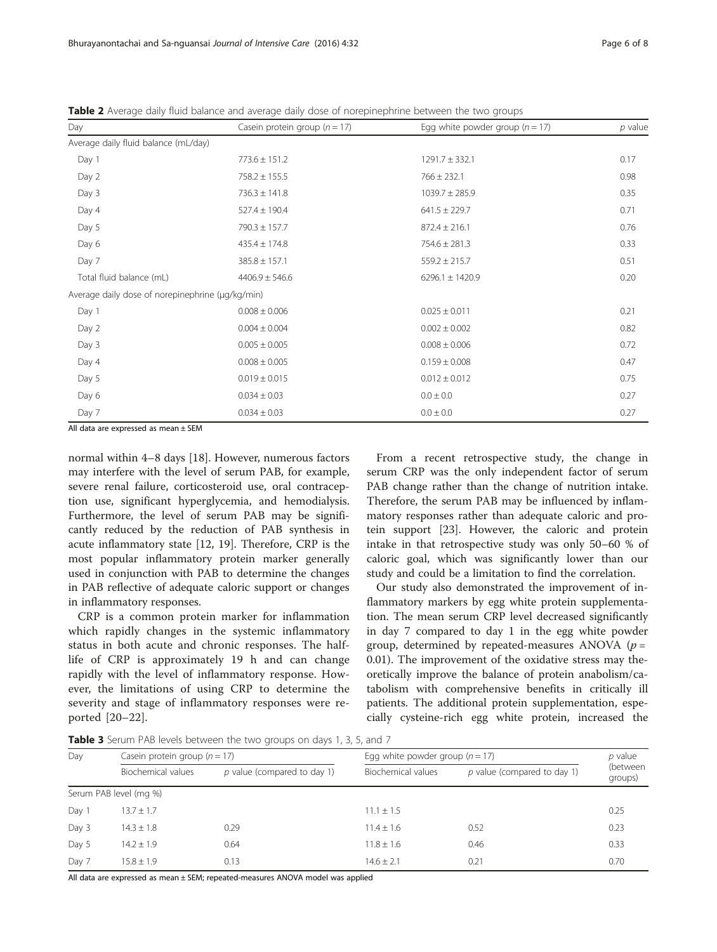| Day                                              | Casein protein group $(n = 17)$        | Egg white powder group ( $n = 17$ ) | $p$ value |
|--------------------------------------------------|----------------------------------------|-------------------------------------|-----------|
| Average daily fluid balance (mL/day)             |                                        |                                     |           |
| Day 1                                            | $773.6 \pm 151.2$                      | $1291.7 \pm 332.1$                  |           |
| Day 2                                            | $758.2 \pm 155.5$                      | $766 \pm 232.1$                     | 0.98      |
| Day 3                                            | $736.3 \pm 141.8$                      | $1039.7 \pm 285.9$                  | 0.35      |
| Day 4                                            | $527.4 \pm 190.4$                      | $641.5 \pm 229.7$                   | 0.71      |
| Day 5                                            | $790.3 \pm 157.7$                      | $872.4 \pm 216.1$                   | 0.76      |
| Day 6                                            | $435.4 \pm 174.8$                      | $754.6 \pm 281.3$                   | 0.33      |
| Day 7                                            | $385.8 \pm 157.1$                      | $559.2 \pm 215.7$                   | 0.51      |
| Total fluid balance (mL)                         | $4406.9 \pm 546.6$                     | 6296.1 $\pm$ 1420.9                 | 0.20      |
| Average daily dose of norepinephrine (µq/kq/min) |                                        |                                     |           |
| Day 1                                            | $0.008 \pm 0.006$                      | $0.025 \pm 0.011$                   | 0.21      |
| Day 2                                            | $0.004 \pm 0.004$                      | $0.002 \pm 0.002$                   | 0.82      |
| Day 3                                            | $0.005 \pm 0.005$<br>$0.008 \pm 0.006$ |                                     | 0.72      |
| Day 4                                            | $0.008 \pm 0.005$<br>$0.159 \pm 0.008$ |                                     | 0.47      |
| Day 5                                            | $0.019 \pm 0.015$                      | $0.012 \pm 0.012$                   |           |
| Day 6                                            | $0.034 \pm 0.03$                       | $0.0 \pm 0.0$                       | 0.27      |
| Day 7                                            | $0.034 \pm 0.03$                       | $0.0 \pm 0.0$                       | 0.27      |
| All data are expressed as mean $\pm$ SEM         |                                        |                                     |           |

<span id="page-5-0"></span>Table 2 Average daily fluid balance and average daily dose of norepinephrine between the two groups

All data are expressed as mean ± SEM

normal within 4–8 days [\[18\]](#page-7-0). However, numerous factors may interfere with the level of serum PAB, for example, severe renal failure, corticosteroid use, oral contraception use, significant hyperglycemia, and hemodialysis. Furthermore, the level of serum PAB may be significantly reduced by the reduction of PAB synthesis in acute inflammatory state [[12, 19](#page-7-0)]. Therefore, CRP is the most popular inflammatory protein marker generally used in conjunction with PAB to determine the changes in PAB reflective of adequate caloric support or changes in inflammatory responses.

CRP is a common protein marker for inflammation which rapidly changes in the systemic inflammatory status in both acute and chronic responses. The halflife of CRP is approximately 19 h and can change rapidly with the level of inflammatory response. However, the limitations of using CRP to determine the severity and stage of inflammatory responses were reported [\[20](#page-7-0)–[22](#page-7-0)].

From a recent retrospective study, the change in serum CRP was the only independent factor of serum PAB change rather than the change of nutrition intake. Therefore, the serum PAB may be influenced by inflammatory responses rather than adequate caloric and protein support [\[23\]](#page-7-0). However, the caloric and protein intake in that retrospective study was only 50–60 % of caloric goal, which was significantly lower than our study and could be a limitation to find the correlation.

Our study also demonstrated the improvement of inflammatory markers by egg white protein supplementation. The mean serum CRP level decreased significantly in day 7 compared to day 1 in the egg white powder group, determined by repeated-measures ANOVA ( $p =$ 0.01). The improvement of the oxidative stress may theoretically improve the balance of protein anabolism/catabolism with comprehensive benefits in critically ill patients. The additional protein supplementation, especially cysteine-rich egg white protein, increased the

Table 3 Serum PAB levels between the two groups on days 1, 3, 5, and 7

| Day   | Casein protein group $(n = 17)$ |                               | Egg white powder group ( $n = 17$ ) |                               | p value             |
|-------|---------------------------------|-------------------------------|-------------------------------------|-------------------------------|---------------------|
|       | Biochemical values              | $p$ value (compared to day 1) | Biochemical values                  | $p$ value (compared to day 1) | (between<br>groups) |
|       | Serum PAB level (mg %)          |                               |                                     |                               |                     |
| Day 1 | $13.7 \pm 1.7$                  |                               | $11.1 \pm 1.5$                      |                               | 0.25                |
| Day 3 | $14.3 \pm 1.8$                  | 0.29                          | $11.4 \pm 1.6$                      | 0.52                          | 0.23                |
| Day 5 | $14.2 + 1.9$                    | 0.64                          | $11.8 \pm 1.6$                      | 0.46                          | 0.33                |
| Day 7 | $15.8 + 1.9$                    | 0.13                          | $14.6 \pm 2.1$                      | 0.21                          | 0.70                |

All data are expressed as mean ± SEM; repeated-measures ANOVA model was applied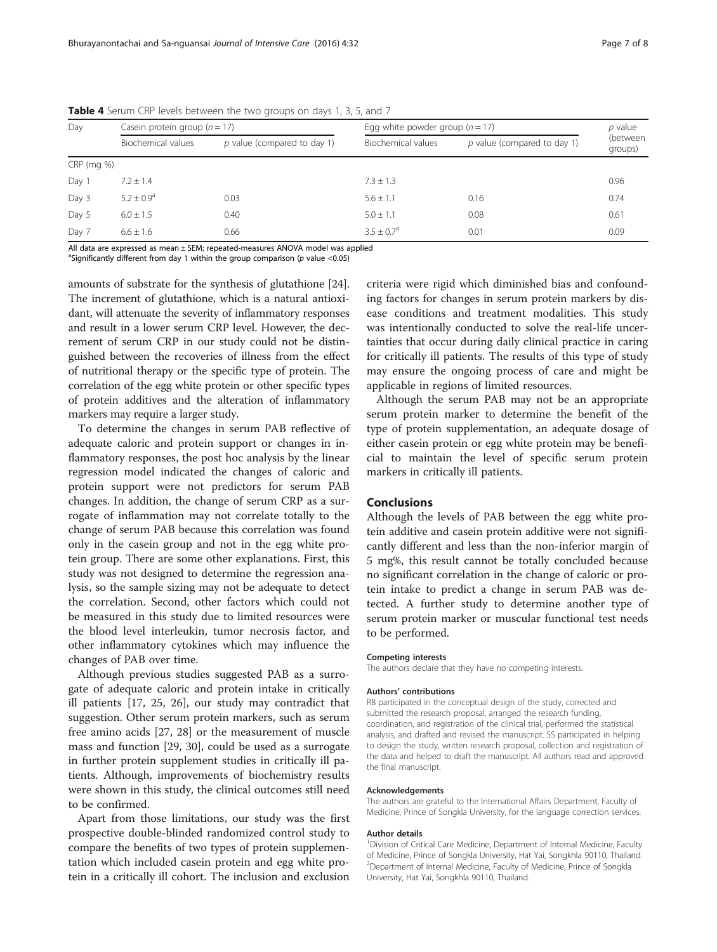| Day          | Casein protein group $(n = 17)$ |                               | Egg white powder group ( $n = 17$ ) |                               | p value             |
|--------------|---------------------------------|-------------------------------|-------------------------------------|-------------------------------|---------------------|
|              | Biochemical values              | $p$ value (compared to day 1) | Biochemical values                  | $p$ value (compared to day 1) | (between<br>groups) |
| $CRP$ (mg %) |                                 |                               |                                     |                               |                     |
| Day 1        | $7.2 \pm 1.4$                   |                               | $7.3 \pm 1.3$                       |                               | 0.96                |
| Day 3        | $5.2 + 0.9a$                    | 0.03                          | $5.6 + 1.1$                         | 0.16                          | 0.74                |
| Day 5        | $6.0 \pm 1.5$                   | 0.40                          | $5.0 \pm 1.1$                       | 0.08                          | 0.61                |
| Day 7        | $6.6 \pm 1.6$                   | 0.66                          | $3.5 + 0.7a$                        | 0.01                          | 0.09                |

<span id="page-6-0"></span>Table 4 Serum CRP levels between the two groups on days 1, 3, 5, and 7

All data are expressed as mean ± SEM; repeated-measures ANOVA model was applied

<sup>a</sup>Significantly different from day 1 within the group comparison (p value <0.05)

amounts of substrate for the synthesis of glutathione [[24](#page-7-0)]. The increment of glutathione, which is a natural antioxidant, will attenuate the severity of inflammatory responses and result in a lower serum CRP level. However, the decrement of serum CRP in our study could not be distinguished between the recoveries of illness from the effect of nutritional therapy or the specific type of protein. The correlation of the egg white protein or other specific types of protein additives and the alteration of inflammatory markers may require a larger study.

To determine the changes in serum PAB reflective of adequate caloric and protein support or changes in inflammatory responses, the post hoc analysis by the linear regression model indicated the changes of caloric and protein support were not predictors for serum PAB changes. In addition, the change of serum CRP as a surrogate of inflammation may not correlate totally to the change of serum PAB because this correlation was found only in the casein group and not in the egg white protein group. There are some other explanations. First, this study was not designed to determine the regression analysis, so the sample sizing may not be adequate to detect the correlation. Second, other factors which could not be measured in this study due to limited resources were the blood level interleukin, tumor necrosis factor, and other inflammatory cytokines which may influence the changes of PAB over time.

Although previous studies suggested PAB as a surrogate of adequate caloric and protein intake in critically ill patients [[17, 25](#page-7-0), [26\]](#page-7-0), our study may contradict that suggestion. Other serum protein markers, such as serum free amino acids [\[27](#page-7-0), [28\]](#page-7-0) or the measurement of muscle mass and function [\[29, 30](#page-7-0)], could be used as a surrogate in further protein supplement studies in critically ill patients. Although, improvements of biochemistry results were shown in this study, the clinical outcomes still need to be confirmed.

Apart from those limitations, our study was the first prospective double-blinded randomized control study to compare the benefits of two types of protein supplementation which included casein protein and egg white protein in a critically ill cohort. The inclusion and exclusion criteria were rigid which diminished bias and confounding factors for changes in serum protein markers by disease conditions and treatment modalities. This study was intentionally conducted to solve the real-life uncertainties that occur during daily clinical practice in caring for critically ill patients. The results of this type of study may ensure the ongoing process of care and might be applicable in regions of limited resources.

Although the serum PAB may not be an appropriate serum protein marker to determine the benefit of the type of protein supplementation, an adequate dosage of either casein protein or egg white protein may be beneficial to maintain the level of specific serum protein markers in critically ill patients.

#### Conclusions

Although the levels of PAB between the egg white protein additive and casein protein additive were not significantly different and less than the non-inferior margin of 5 mg%, this result cannot be totally concluded because no significant correlation in the change of caloric or protein intake to predict a change in serum PAB was detected. A further study to determine another type of serum protein marker or muscular functional test needs to be performed.

#### Competing interests

The authors declare that they have no competing interests.

#### Authors' contributions

RB participated in the conceptual design of the study, corrected and submitted the research proposal, arranged the research funding, coordination, and registration of the clinical trial, performed the statistical analysis, and drafted and revised the manuscript. SS participated in helping to design the study, written research proposal, collection and registration of the data and helped to draft the manuscript. All authors read and approved the final manuscript.

#### Acknowledgements

The authors are grateful to the International Affairs Department, Faculty of Medicine, Prince of Songkla University, for the language correction services.

#### Author details

<sup>1</sup> Division of Critical Care Medicine, Department of Internal Medicine, Faculty of Medicine, Prince of Songkla University, Hat Yai, Songkhla 90110, Thailand. <sup>2</sup>Department of Internal Medicine, Faculty of Medicine, Prince of Songkla University, Hat Yai, Songkhla 90110, Thailand.